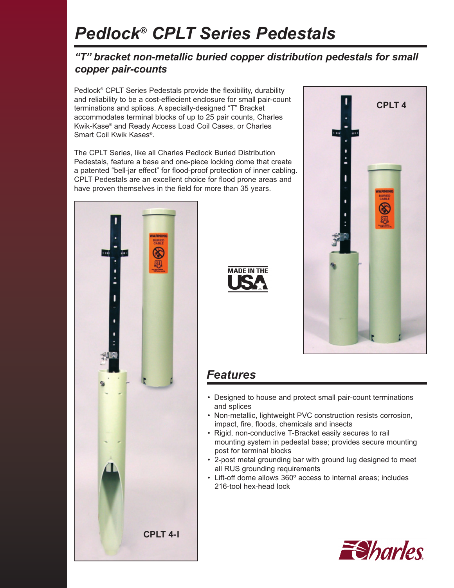# *Pedlock® CPLT Series Pedestals*

### *"T" bracket non-metallic buried copper distribution pedestals for small copper pair-counts*

Pedlock<sup>®</sup> CPLT Series Pedestals provide the flexibility, durability and reliability to be a cost-effiecient enclosure for small pair-count terminations and splices. A specially-designed "T" Bracket accommodates terminal blocks of up to 25 pair counts, Charles Kwik-Kase® and Ready Access Load Coil Cases, or Charles Smart Coil Kwik Kases®.

The CPLT Series, like all Charles Pedlock Buried Distribution Pedestals, feature a base and one-piece locking dome that create a patented "bell-jar effect" for flood-proof protection of inner cabling. CPLT Pedestals are an excellent choice for flood prone areas and have proven themselves in the field for more than 35 years.







## *Features*

- Designed to house and protect small pair-count terminations and splices
- Non-metallic, lightweight PVC construction resists corrosion, impact, fire, floods, chemicals and insects
- Rigid, non-conductive T-Bracket easily secures to rail mounting system in pedestal base; provides secure mounting post for terminal blocks
- 2-post metal grounding bar with ground lug designed to meet all RUS grounding requirements
- Lift-off dome allows 360º access to internal areas; includes 216-tool hex-head lock